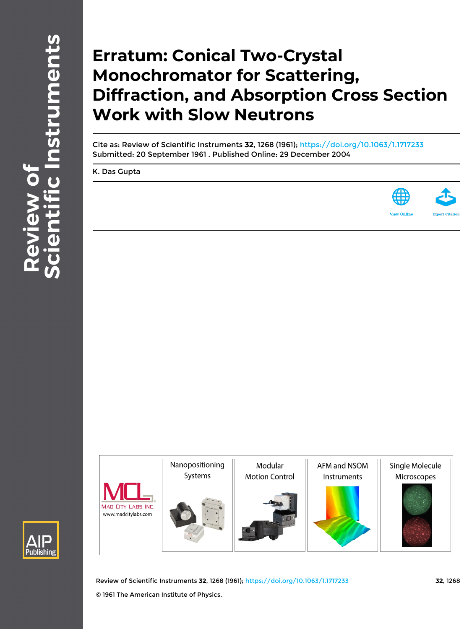## **Erratum: Conical Two-Crystal Monochromator for Scattering, Diffraction, and Absorption Cross Section Work with Slow Neutrons**

Cite as: Review of Scientific Instruments **32**, 1268 (1961); <https://doi.org/10.1063/1.1717233> Submitted: 20 September 1961 . Published Online: 29 December 2004

[K. Das Gupta](https://aip.scitation.org/author/Gupta%2C+K+Das)







Review of Scientific Instruments **32**, 1268 (1961); <https://doi.org/10.1063/1.1717233> **32**, 1268 © 1961 The American Institute of Physics.